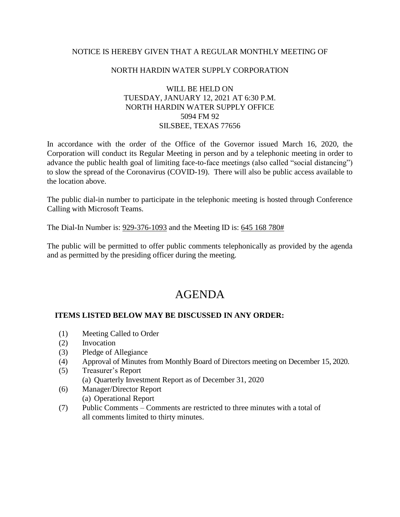## NOTICE IS HEREBY GIVEN THAT A REGULAR MONTHLY MEETING OF

### NORTH HARDIN WATER SUPPLY CORPORATION

# WILL BE HELD ON TUESDAY, JANUARY 12, 2021 AT 6:30 P.M. NORTH HARDIN WATER SUPPLY OFFICE 5094 FM 92 SILSBEE, TEXAS 77656

In accordance with the order of the Office of the Governor issued March 16, 2020, the Corporation will conduct its Regular Meeting in person and by a telephonic meeting in order to advance the public health goal of limiting face-to-face meetings (also called "social distancing") to slow the spread of the Coronavirus (COVID-19). There will also be public access available to the location above.

The public dial-in number to participate in the telephonic meeting is hosted through Conference Calling with Microsoft Teams.

The Dial-In Number is: 929-376-1093 and the Meeting ID is: 645 168 780#

The public will be permitted to offer public comments telephonically as provided by the agenda and as permitted by the presiding officer during the meeting.

# AGENDA

## **ITEMS LISTED BELOW MAY BE DISCUSSED IN ANY ORDER:**

- (1) Meeting Called to Order
- (2) Invocation
- (3) Pledge of Allegiance
- (4) Approval of Minutes from Monthly Board of Directors meeting on December 15, 2020.
- (5) Treasurer's Report (a) Quarterly Investment Report as of December 31, 2020
- (6) Manager/Director Report (a) Operational Report
- (7) Public Comments Comments are restricted to three minutes with a total of all comments limited to thirty minutes.